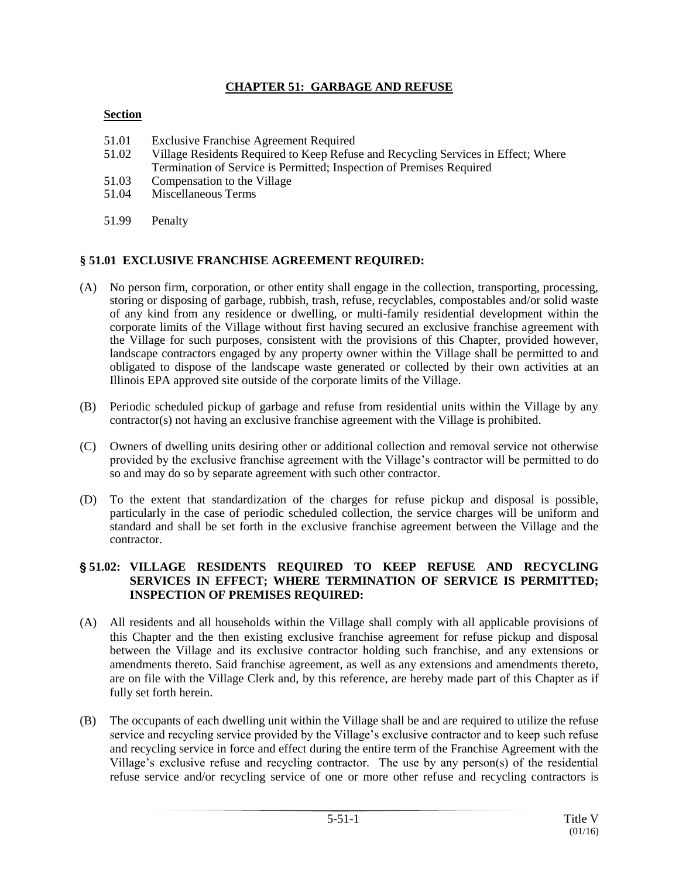### **CHAPTER 51: GARBAGE AND REFUSE**

#### **Section**

- 51.01 Exclusive Franchise Agreement Required
- 51.02 Village Residents Required to Keep Refuse and Recycling Services in Effect; Where Termination of Service is Permitted; Inspection of Premises Required
- 51.03 Compensation to the Village
- 51.04 Miscellaneous Terms
- 51.99 Penalty

#### **§ 51.01 EXCLUSIVE FRANCHISE AGREEMENT REQUIRED:**

- (A) No person firm, corporation, or other entity shall engage in the collection, transporting, processing, storing or disposing of garbage, rubbish, trash, refuse, recyclables, compostables and/or solid waste of any kind from any residence or dwelling, or multi-family residential development within the corporate limits of the Village without first having secured an exclusive franchise agreement with the Village for such purposes, consistent with the provisions of this Chapter, provided however, landscape contractors engaged by any property owner within the Village shall be permitted to and obligated to dispose of the landscape waste generated or collected by their own activities at an Illinois EPA approved site outside of the corporate limits of the Village.
- (B) Periodic scheduled pickup of garbage and refuse from residential units within the Village by any contractor(s) not having an exclusive franchise agreement with the Village is prohibited.
- (C) Owners of dwelling units desiring other or additional collection and removal service not otherwise provided by the exclusive franchise agreement with the Village's contractor will be permitted to do so and may do so by separate agreement with such other contractor.
- (D) To the extent that standardization of the charges for refuse pickup and disposal is possible, particularly in the case of periodic scheduled collection, the service charges will be uniform and standard and shall be set forth in the exclusive franchise agreement between the Village and the contractor.

#### ' **51.02: VILLAGE RESIDENTS REQUIRED TO KEEP REFUSE AND RECYCLING SERVICES IN EFFECT; WHERE TERMINATION OF SERVICE IS PERMITTED; INSPECTION OF PREMISES REQUIRED:**

- (A) All residents and all households within the Village shall comply with all applicable provisions of this Chapter and the then existing exclusive franchise agreement for refuse pickup and disposal between the Village and its exclusive contractor holding such franchise, and any extensions or amendments thereto. Said franchise agreement, as well as any extensions and amendments thereto, are on file with the Village Clerk and, by this reference, are hereby made part of this Chapter as if fully set forth herein.
- (B) The occupants of each dwelling unit within the Village shall be and are required to utilize the refuse service and recycling service provided by the Village's exclusive contractor and to keep such refuse and recycling service in force and effect during the entire term of the Franchise Agreement with the Village's exclusive refuse and recycling contractor. The use by any person(s) of the residential refuse service and/or recycling service of one or more other refuse and recycling contractors is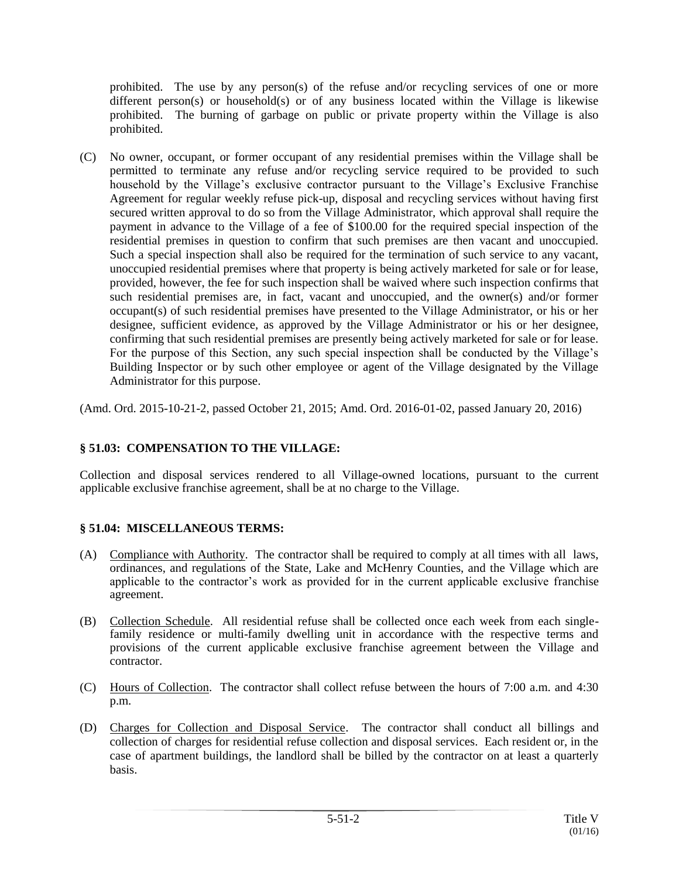prohibited. The use by any person(s) of the refuse and/or recycling services of one or more different person(s) or household(s) or of any business located within the Village is likewise prohibited. The burning of garbage on public or private property within the Village is also prohibited.

(C) No owner, occupant, or former occupant of any residential premises within the Village shall be permitted to terminate any refuse and/or recycling service required to be provided to such household by the Village's exclusive contractor pursuant to the Village's Exclusive Franchise Agreement for regular weekly refuse pick-up, disposal and recycling services without having first secured written approval to do so from the Village Administrator, which approval shall require the payment in advance to the Village of a fee of \$100.00 for the required special inspection of the residential premises in question to confirm that such premises are then vacant and unoccupied. Such a special inspection shall also be required for the termination of such service to any vacant, unoccupied residential premises where that property is being actively marketed for sale or for lease, provided, however, the fee for such inspection shall be waived where such inspection confirms that such residential premises are, in fact, vacant and unoccupied, and the owner(s) and/or former occupant(s) of such residential premises have presented to the Village Administrator, or his or her designee, sufficient evidence, as approved by the Village Administrator or his or her designee, confirming that such residential premises are presently being actively marketed for sale or for lease. For the purpose of this Section, any such special inspection shall be conducted by the Village's Building Inspector or by such other employee or agent of the Village designated by the Village Administrator for this purpose.

(Amd. Ord. 2015-10-21-2, passed October 21, 2015; Amd. Ord. 2016-01-02, passed January 20, 2016)

## **§ 51.03: COMPENSATION TO THE VILLAGE:**

Collection and disposal services rendered to all Village-owned locations, pursuant to the current applicable exclusive franchise agreement, shall be at no charge to the Village.

## **§ 51.04: MISCELLANEOUS TERMS:**

- (A) Compliance with Authority. The contractor shall be required to comply at all times with all laws, ordinances, and regulations of the State, Lake and McHenry Counties, and the Village which are applicable to the contractor's work as provided for in the current applicable exclusive franchise agreement.
- (B) Collection Schedule. All residential refuse shall be collected once each week from each singlefamily residence or multi-family dwelling unit in accordance with the respective terms and provisions of the current applicable exclusive franchise agreement between the Village and contractor.
- (C) Hours of Collection. The contractor shall collect refuse between the hours of 7:00 a.m. and 4:30 p.m.
- (D) Charges for Collection and Disposal Service. The contractor shall conduct all billings and collection of charges for residential refuse collection and disposal services. Each resident or, in the case of apartment buildings, the landlord shall be billed by the contractor on at least a quarterly basis.